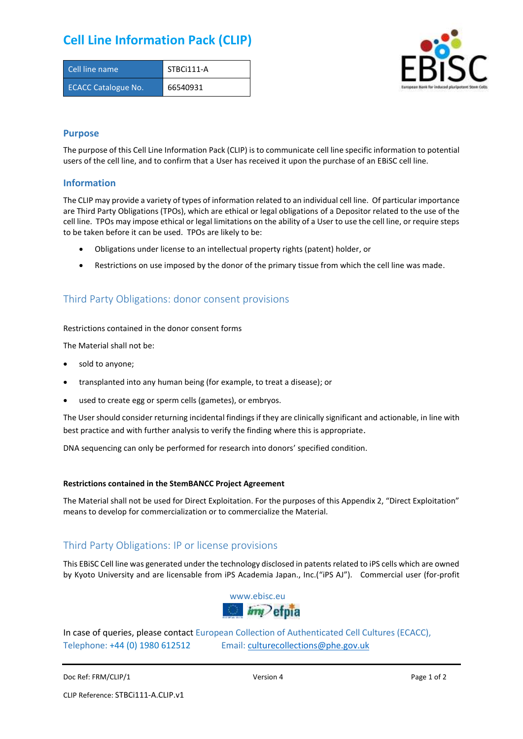# **Cell Line Information Pack (CLIP)**

| Cell line name             | STBCi111-A |
|----------------------------|------------|
| <b>ECACC Catalogue No.</b> | 66540931   |



### **Purpose**

The purpose of this Cell Line Information Pack (CLIP) is to communicate cell line specific information to potential users of the cell line, and to confirm that a User has received it upon the purchase of an EBiSC cell line.

### **Information**

The CLIP may provide a variety of types of information related to an individual cell line. Of particular importance are Third Party Obligations (TPOs), which are ethical or legal obligations of a Depositor related to the use of the cell line. TPOs may impose ethical or legal limitations on the ability of a User to use the cell line, or require steps to be taken before it can be used. TPOs are likely to be:

- Obligations under license to an intellectual property rights (patent) holder, or
- Restrictions on use imposed by the donor of the primary tissue from which the cell line was made.

## Third Party Obligations: donor consent provisions

#### Restrictions contained in the donor consent forms

The Material shall not be:

- sold to anyone;
- transplanted into any human being (for example, to treat a disease); or
- used to create egg or sperm cells (gametes), or embryos.

The User should consider returning incidental findings if they are clinically significant and actionable, in line with best practice and with further analysis to verify the finding where this is appropriate.

DNA sequencing can only be performed for research into donors' specified condition.

#### **Restrictions contained in the StemBANCC Project Agreement**

The Material shall not be used for Direct Exploitation. For the purposes of this Appendix 2, "Direct Exploitation" means to develop for commercialization or to commercialize the Material.

## Third Party Obligations: IP or license provisions

This EBiSC Cell line was generated under the technology disclosed in patents related to iPS cells which are owned by Kyoto University and are licensable from iPS Academia Japan., Inc.("iPS AJ"). Commercial user (for-profit



In case of queries, please contact European Collection of Authenticated Cell Cultures (ECACC), Telephone: +44 (0) 1980 612512 Email: [culturecollections@phe.gov.uk](mailto:culturecollections@phe.gov.uk)